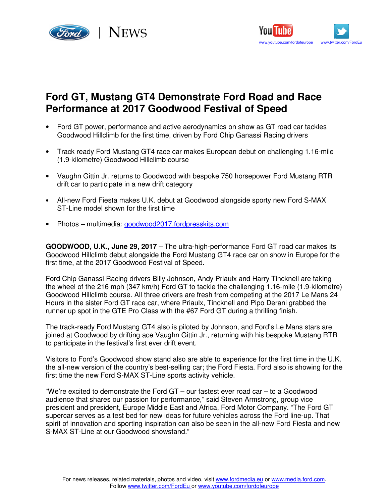



# **Ford GT, Mustang GT4 Demonstrate Ford Road and Race Performance at 2017 Goodwood Festival of Speed**

- Ford GT power, performance and active aerodynamics on show as GT road car tackles Goodwood Hillclimb for the first time, driven by Ford Chip Ganassi Racing drivers
- Track ready Ford Mustang GT4 race car makes European debut on challenging 1.16-mile (1.9-kilometre) Goodwood Hillclimb course
- Vaughn Gittin Jr. returns to Goodwood with bespoke 750 horsepower Ford Mustang RTR drift car to participate in a new drift category
- All-new Ford Fiesta makes U.K. debut at Goodwood alongside sporty new Ford S-MAX ST-Line model shown for the first time
- Photos multimedia: *goodwood2017.fordpresskits.com*

**GOODWOOD, U.K., June 29, 2017** – The ultra-high-performance Ford GT road car makes its Goodwood Hillclimb debut alongside the Ford Mustang GT4 race car on show in Europe for the first time, at the 2017 Goodwood Festival of Speed.

Ford Chip Ganassi Racing drivers Billy Johnson, Andy Priaulx and Harry Tincknell are taking the wheel of the 216 mph (347 km/h) Ford GT to tackle the challenging 1.16-mile (1.9-kilometre) Goodwood Hillclimb course. All three drivers are fresh from competing at the 2017 Le Mans 24 Hours in the sister Ford GT race car, where Priaulx, Tincknell and Pipo Derani grabbed the runner up spot in the GTE Pro Class with the #67 Ford GT during a thrilling finish.

The track-ready Ford Mustang GT4 also is piloted by Johnson, and Ford's Le Mans stars are joined at Goodwood by drifting ace Vaughn Gittin Jr., returning with his bespoke Mustang RTR to participate in the festival's first ever drift event.

Visitors to Ford's Goodwood show stand also are able to experience for the first time in the U.K. the all-new version of the country's best-selling car; the Ford Fiesta. Ford also is showing for the first time the new Ford S-MAX ST-Line sports activity vehicle.

"We're excited to demonstrate the Ford GT – our fastest ever road car – to a Goodwood audience that shares our passion for performance," said Steven Armstrong, group vice president and president, Europe Middle East and Africa, Ford Motor Company. "The Ford GT supercar serves as a test bed for new ideas for future vehicles across the Ford line-up. That spirit of innovation and sporting inspiration can also be seen in the all-new Ford Fiesta and new S-MAX ST-Line at our Goodwood showstand."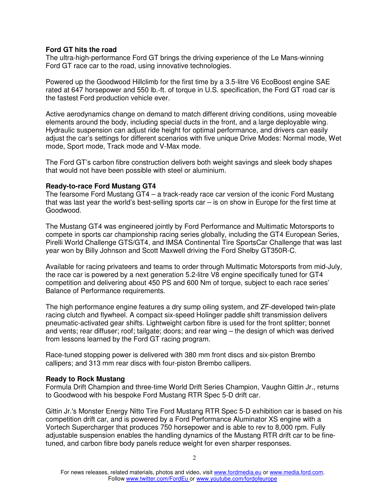## **Ford GT hits the road**

The ultra-high-performance Ford GT brings the driving experience of the Le Mans-winning Ford GT race car to the road, using innovative technologies.

Powered up the Goodwood Hillclimb for the first time by a 3.5-litre V6 EcoBoost engine SAE rated at 647 horsepower and 550 lb.-ft. of torque in U.S. specification, the Ford GT road car is the fastest Ford production vehicle ever.

Active aerodynamics change on demand to match different driving conditions, using moveable elements around the body, including special ducts in the front, and a large deployable wing. Hydraulic suspension can adjust ride height for optimal performance, and drivers can easily adjust the car's settings for different scenarios with five unique Drive Modes: Normal mode, Wet mode, Sport mode, Track mode and V-Max mode.

The Ford GT's carbon fibre construction delivers both weight savings and sleek body shapes that would not have been possible with steel or aluminium.

### **Ready-to-race Ford Mustang GT4**

The fearsome Ford Mustang GT4 – a track-ready race car version of the iconic Ford Mustang that was last year the world's best-selling sports car – is on show in Europe for the first time at Goodwood.

The Mustang GT4 was engineered jointly by Ford Performance and Multimatic Motorsports to compete in sports car championship racing series globally, including the GT4 European Series, Pirelli World Challenge GTS/GT4, and IMSA Continental Tire SportsCar Challenge that was last year won by Billy Johnson and Scott Maxwell driving the Ford Shelby GT350R-C.

Available for racing privateers and teams to order through Multimatic Motorsports from mid-July, the race car is powered by a next generation 5.2-litre V8 engine specifically tuned for GT4 competition and delivering about 450 PS and 600 Nm of torque, subject to each race series' Balance of Performance requirements.

The high performance engine features a dry sump oiling system, and ZF-developed twin-plate racing clutch and flywheel. A compact six-speed Holinger paddle shift transmission delivers pneumatic-activated gear shifts. Lightweight carbon fibre is used for the front splitter; bonnet and vents; rear diffuser; roof; tailgate; doors; and rear wing – the design of which was derived from lessons learned by the Ford GT racing program.

Race-tuned stopping power is delivered with 380 mm front discs and six-piston Brembo callipers; and 313 mm rear discs with four-piston Brembo callipers.

#### **Ready to Rock Mustang**

Formula Drift Champion and three-time World Drift Series Champion, Vaughn Gittin Jr., returns to Goodwood with his bespoke Ford Mustang RTR Spec 5-D drift car.

Gittin Jr.'s Monster Energy Nitto Tire Ford Mustang RTR Spec 5-D exhibition car is based on his competition drift car, and is powered by a Ford Performance Aluminator XS engine with a Vortech Supercharger that produces 750 horsepower and is able to rev to 8,000 rpm. Fully adjustable suspension enables the handling dynamics of the Mustang RTR drift car to be finetuned, and carbon fibre body panels reduce weight for even sharper responses.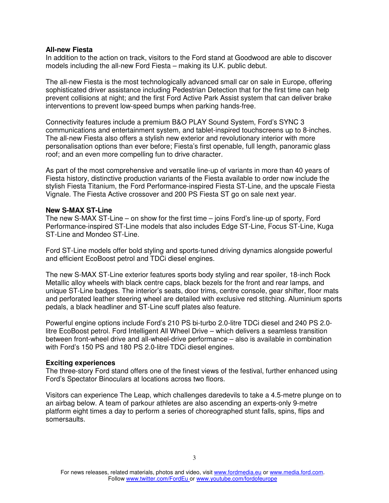### **All-new Fiesta**

In addition to the action on track, visitors to the Ford stand at Goodwood are able to discover models including the all-new Ford Fiesta – making its U.K. public debut.

The all-new Fiesta is the most technologically advanced small car on sale in Europe, offering sophisticated driver assistance including Pedestrian Detection that for the first time can help prevent collisions at night; and the first Ford Active Park Assist system that can deliver brake interventions to prevent low-speed bumps when parking hands-free.

Connectivity features include a premium B&O PLAY Sound System, Ford's SYNC 3 communications and entertainment system, and tablet-inspired touchscreens up to 8-inches. The all-new Fiesta also offers a stylish new exterior and revolutionary interior with more personalisation options than ever before; Fiesta's first openable, full length, panoramic glass roof; and an even more compelling fun to drive character.

As part of the most comprehensive and versatile line-up of variants in more than 40 years of Fiesta history, distinctive production variants of the Fiesta available to order now include the stylish Fiesta Titanium, the Ford Performance-inspired Fiesta ST-Line, and the upscale Fiesta Vignale. The Fiesta Active crossover and 200 PS Fiesta ST go on sale next year.

#### **New S-MAX ST-Line**

The new S-MAX ST-Line – on show for the first time – joins Ford's line-up of sporty, Ford Performance-inspired ST-Line models that also includes Edge ST-Line, Focus ST-Line, Kuga ST-Line and Mondeo ST-Line.

Ford ST-Line models offer bold styling and sports-tuned driving dynamics alongside powerful and efficient EcoBoost petrol and TDCi diesel engines.

The new S-MAX ST-Line exterior features sports body styling and rear spoiler, 18-inch Rock Metallic alloy wheels with black centre caps, black bezels for the front and rear lamps, and unique ST-Line badges. The interior's seats, door trims, centre console, gear shifter, floor mats and perforated leather steering wheel are detailed with exclusive red stitching. Aluminium sports pedals, a black headliner and ST-Line scuff plates also feature.

Powerful engine options include Ford's 210 PS bi-turbo 2.0-litre TDCi diesel and 240 PS 2.0 litre EcoBoost petrol. Ford Intelligent All Wheel Drive – which delivers a seamless transition between front-wheel drive and all-wheel-drive performance – also is available in combination with Ford's 150 PS and 180 PS 2.0-litre TDCi diesel engines.

#### **Exciting experiences**

The three-story Ford stand offers one of the finest views of the festival, further enhanced using Ford's Spectator Binoculars at locations across two floors.

Visitors can experience The Leap, which challenges daredevils to take a 4.5-metre plunge on to an airbag below. A team of parkour athletes are also ascending an experts-only 9-metre platform eight times a day to perform a series of choreographed stunt falls, spins, flips and somersaults.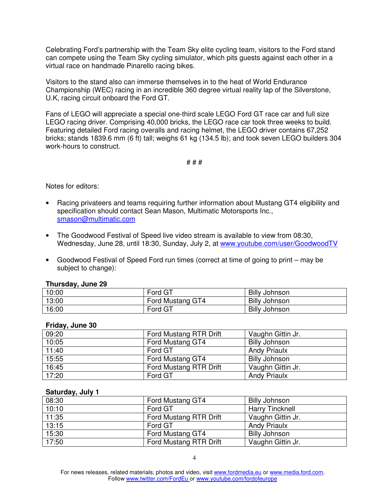Celebrating Ford's partnership with the Team Sky elite cycling team, visitors to the Ford stand can compete using the Team Sky cycling simulator, which pits guests against each other in a virtual race on handmade Pinarello racing bikes.

Visitors to the stand also can immerse themselves in to the heat of World Endurance Championship (WEC) racing in an incredible 360 degree virtual reality lap of the Silverstone, U.K, racing circuit onboard the Ford GT.

Fans of LEGO will appreciate a special one-third scale LEGO Ford GT race car and full size LEGO racing driver. Comprising 40,000 bricks, the LEGO race car took three weeks to build. Featuring detailed Ford racing overalls and racing helmet, the LEGO driver contains 67,252 bricks; stands 1839.6 mm (6 ft) tall; weighs 61 kg (134.5 lb); and took seven LEGO builders 304 work-hours to construct.

# # #

Notes for editors:

- Racing privateers and teams requiring further information about Mustang GT4 eligibility and specification should contact Sean Mason, Multimatic Motorsports Inc., smason@multimatic.com
- The Goodwood Festival of Speed live video stream is available to view from 08:30, Wednesday, June 28, until 18:30, Sunday, July 2, at www.youtube.com/user/GoodwoodTV
- Goodwood Festival of Speed Ford run times (correct at time of going to print may be subject to change):

## **Thursday, June 29**

| 10:00 | Ford GT          | <b>Billy Johnson</b> |
|-------|------------------|----------------------|
| 13:00 | Ford Mustang GT4 | <b>Billy Johnson</b> |
| 16:00 | Ford GT          | <b>Billy Johnson</b> |

## **Friday, June 30**

| 09:20 | Ford Mustang RTR Drift | Vaughn Gittin Jr.    |
|-------|------------------------|----------------------|
| 10:05 | Ford Mustang GT4       | <b>Billy Johnson</b> |
| 11:40 | Ford GT                | <b>Andy Priaulx</b>  |
| 15:55 | Ford Mustang GT4       | <b>Billy Johnson</b> |
| 16:45 | Ford Mustang RTR Drift | Vaughn Gittin Jr.    |
| 17:20 | Ford GT                | <b>Andy Priaulx</b>  |

#### **Saturday, July 1**

| 08:30 | Ford Mustang GT4       | <b>Billy Johnson</b>   |
|-------|------------------------|------------------------|
| 10:10 | Ford GT                | <b>Harry Tincknell</b> |
| 11:35 | Ford Mustang RTR Drift | Vaughn Gittin Jr.      |
| 13:15 | Ford GT                | <b>Andy Priaulx</b>    |
| 15:30 | Ford Mustang GT4       | <b>Billy Johnson</b>   |
| 17:50 | Ford Mustang RTR Drift | Vaughn Gittin Jr.      |

For news releases, related materials, photos and video, visit www.fordmedia.eu or www.media.ford.com. Follow www.twitter.com/FordEu or www.youtube.com/fordofeurope